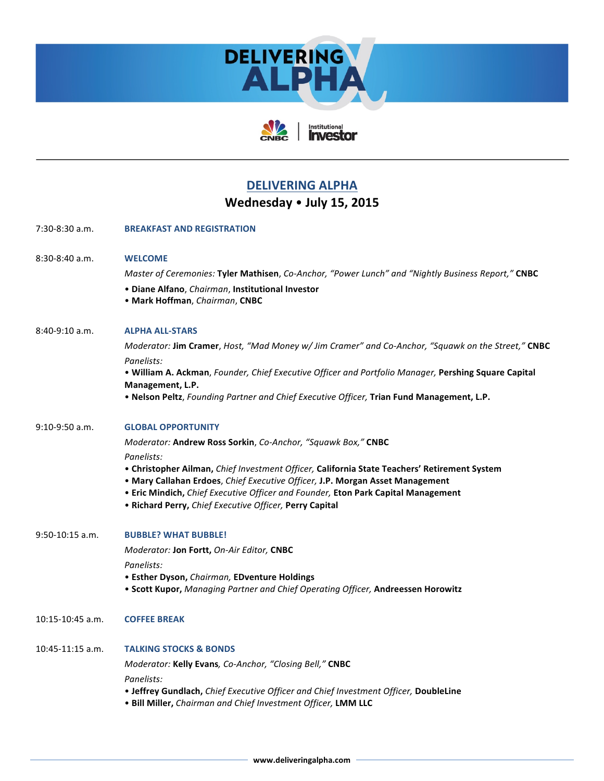



Institutional<br>**Investor** 

## **DELIVERING ALPHA**

## Wednesday • **July 15, 2015**

| 7:30-8:30 a.m.       | <b>BREAKFAST AND REGISTRATION</b>                                                                                                                                                                                                                                                                                                           |
|----------------------|---------------------------------------------------------------------------------------------------------------------------------------------------------------------------------------------------------------------------------------------------------------------------------------------------------------------------------------------|
| $8:30-8:40$ a.m.     | <b>WELCOME</b><br>Master of Ceremonies: Tyler Mathisen, Co-Anchor, "Power Lunch" and "Nightly Business Report," CNBC<br>· Diane Alfano, Chairman, Institutional Investor<br>• Mark Hoffman, Chairman, CNBC                                                                                                                                  |
| $8:40-9:10$ a.m.     | <b>ALPHA ALL-STARS</b><br>Moderator: Jim Cramer, Host, "Mad Money w/ Jim Cramer" and Co-Anchor, "Squawk on the Street," CNBC                                                                                                                                                                                                                |
|                      | Panelists:<br>. William A. Ackman, Founder, Chief Executive Officer and Portfolio Manager, Pershing Square Capital<br>Management, L.P.<br>. Nelson Peltz, Founding Partner and Chief Executive Officer, Trian Fund Management, L.P.                                                                                                         |
| $9:10-9:50$ a.m.     | <b>GLOBAL OPPORTUNITY</b><br>Moderator: Andrew Ross Sorkin, Co-Anchor, "Squawk Box," CNBC                                                                                                                                                                                                                                                   |
|                      | Panelists:<br>• Christopher Ailman, Chief Investment Officer, California State Teachers' Retirement System<br>• Mary Callahan Erdoes, Chief Executive Officer, J.P. Morgan Asset Management<br>• Eric Mindich, Chief Executive Officer and Founder, Eton Park Capital Management<br>• Richard Perry, Chief Executive Officer, Perry Capital |
| $9:50-10:15$ a.m.    | <b>BUBBLE? WHAT BUBBLE!</b>                                                                                                                                                                                                                                                                                                                 |
|                      | Moderator: Jon Fortt, On-Air Editor, CNBC                                                                                                                                                                                                                                                                                                   |
|                      | Panelists:<br>• Esther Dyson, Chairman, EDventure Holdings<br>. Scott Kupor, Managing Partner and Chief Operating Officer, Andreessen Horowitz                                                                                                                                                                                              |
| $10:15 - 10:45$ a.m. | <b>COFFEE BREAK</b>                                                                                                                                                                                                                                                                                                                         |
| $10:45-11:15$ a.m.   | <b>TALKING STOCKS &amp; BONDS</b><br>Moderator: Kelly Evans, Co-Anchor, "Closing Bell," CNBC<br>Panelists:<br>• Jeffrey Gundlach, Chief Executive Officer and Chief Investment Officer, DoubleLine<br>. Bill Miller, Chairman and Chief Investment Officer, LMM LLC                                                                         |
|                      |                                                                                                                                                                                                                                                                                                                                             |

**www.deliveringalpha.com**